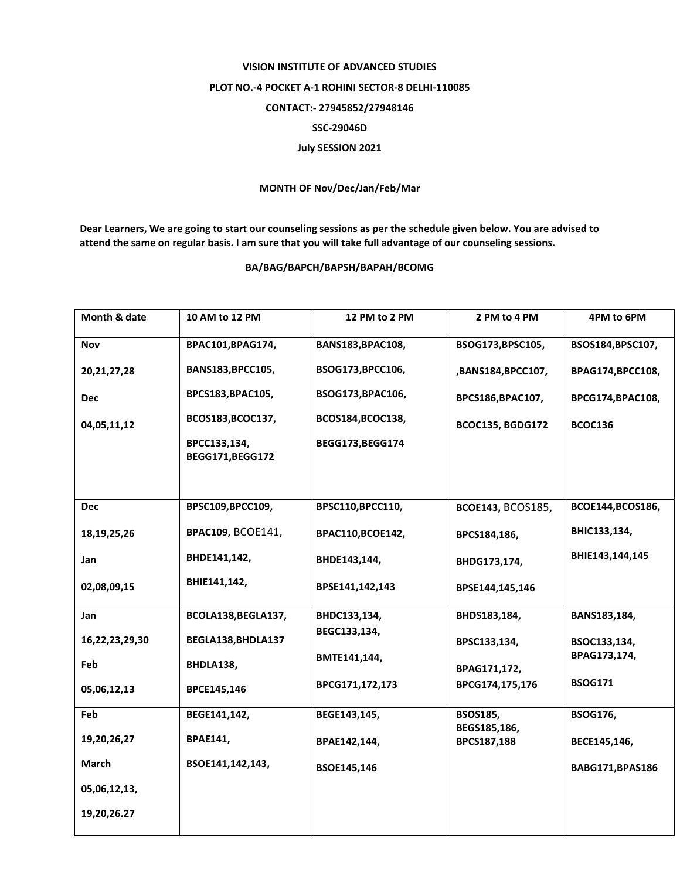## **VISION INSTITUTE OF ADVANCED STUDIES PLOT NO.-4 POCKET A-1 ROHINI SECTOR-8 DELHI-110085 CONTACT:- 27945852/27948146 SSC-29046D July SESSION 2021**

## **MONTH OF Nov/Dec/Jan/Feb/Mar**

**Dear Learners, We are going to start our counseling sessions as per the schedule given below. You are advised to attend the same on regular basis. I am sure that you will take full advantage of our counseling sessions.**

## **BA/BAG/BAPCH/BAPSH/BAPAH/BCOMG**

| Month & date   | 10 AM to 12 PM                  | 12 PM to 2 PM     | 2 PM to 4 PM                    | 4PM to 6PM        |
|----------------|---------------------------------|-------------------|---------------------------------|-------------------|
| Nov            | BPAC101, BPAG174,               | BANS183, BPAC108, | BSOG173, BPSC105,               | BSOS184, BPSC107, |
| 20, 21, 27, 28 | BANS183, BPCC105,               | BSOG173, BPCC106, | ,BANS184,BPCC107,               | BPAG174,BPCC108,  |
| <b>Dec</b>     | BPCS183, BPAC105,               | BSOG173, BPAC106, | BPCS186, BPAC107,               | BPCG174,BPAC108,  |
| 04,05,11,12    | BCOS183, BCOC137,               | BCOS184, BCOC138, | <b>BCOC135, BGDG172</b>         | <b>BCOC136</b>    |
|                | BPCC133,134,<br>BEGG171,BEGG172 | BEGG173, BEGG174  |                                 |                   |
|                |                                 |                   |                                 |                   |
| <b>Dec</b>     | BPSC109,BPCC109,                | BPSC110,BPCC110,  | <b>BCOE143, BCOS185,</b>        | BCOE144, BCOS186, |
| 18, 19, 25, 26 | <b>BPAC109, BCOE141,</b>        | BPAC110,BCOE142,  | BPCS184,186,                    | BHIC133,134,      |
| Jan            | BHDE141,142,                    | BHDE143,144,      | BHDG173,174,                    | BHIE143,144,145   |
| 02,08,09,15    | BHIE141,142,                    | BPSE141,142,143   | BPSE144,145,146                 |                   |
| Jan            | BCOLA138, BEGLA137,             | BHDC133,134,      | BHDS183,184,                    | BANS183,184,      |
| 16,22,23,29,30 | BEGLA138, BHDLA137              | BEGC133,134,      | BPSC133,134,                    | BSOC133,134,      |
| Feb            | BHDLA138,                       | BMTE141,144,      | BPAG171,172,                    | BPAG173,174,      |
| 05,06,12,13    | BPCE145,146                     | BPCG171,172,173   | BPCG174,175,176                 | <b>BSOG171</b>    |
| Feb            | BEGE141,142,                    | BEGE143,145,      | <b>BSOS185,</b><br>BEGS185,186, | <b>BSOG176,</b>   |
| 19,20,26,27    | <b>BPAE141,</b>                 | BPAE142,144,      | BPCS187,188                     | BECE145,146,      |
| March          | BSOE141,142,143,                | BSOE145,146       |                                 | BABG171, BPAS186  |
| 05,06,12,13,   |                                 |                   |                                 |                   |
| 19,20,26.27    |                                 |                   |                                 |                   |
|                |                                 |                   |                                 |                   |